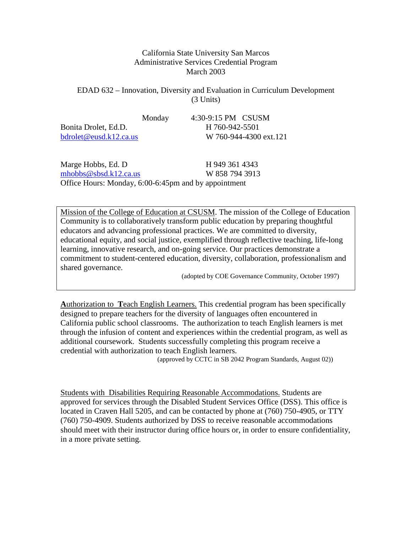#### California State University San Marcos Administrative Services Credential Program March 2003

#### EDAD 632 – Innovation, Diversity and Evaluation in Curriculum Development (3 Units)

|                        | Monday | 4:30-9:15 PM CSUSM     |
|------------------------|--------|------------------------|
| Bonita Drolet, Ed.D.   |        | H 760-942-5501         |
| bdrolet@eusd.k12.ca.us |        | W 760-944-4300 ext.121 |

| Marge Hobbs, Ed. D                                   | H 949 361 4343 |
|------------------------------------------------------|----------------|
| $m$ hobbs@sbsd.k12.ca.us                             | W 858 794 3913 |
| Office Hours: Monday, 6:00-6:45pm and by appointment |                |

Mission of the College of Education at CSUSM. The mission of the College of Education Community is to collaboratively transform public education by preparing thoughtful educators and advancing professional practices. We are committed to diversity, educational equity, and social justice, exemplified through reflective teaching, life-long learning, innovative research, and on-going service. Our practices demonstrate a commitment to student-centered education, diversity, collaboration, professionalism and shared governance.

(adopted by COE Governance Community, October 1997)

**A**uthorization to **T**each English Learners. This credential program has been specifically designed to prepare teachers for the diversity of languages often encountered in California public school classrooms. The authorization to teach English learners is met through the infusion of content and experiences within the credential program, as well as additional coursework. Students successfully completing this program receive a credential with authorization to teach English learners.

(approved by CCTC in SB 2042 Program Standards, August 02))

Students with Disabilities Requiring Reasonable Accommodations. Students are approved for services through the Disabled Student Services Office (DSS). This office is located in Craven Hall 5205, and can be contacted by phone at (760) 750-4905, or TTY (760) 750-4909. Students authorized by DSS to receive reasonable accommodations should meet with their instructor during office hours or, in order to ensure confidentiality, in a more private setting.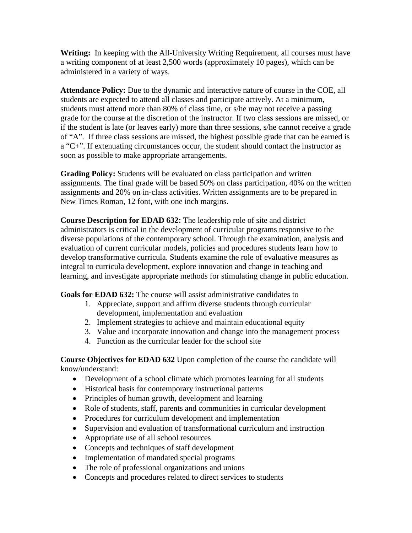**Writing:** In keeping with the All-University Writing Requirement, all courses must have a writing component of at least 2,500 words (approximately 10 pages), which can be administered in a variety of ways.

**Attendance Policy:** Due to the dynamic and interactive nature of course in the COE, all students are expected to attend all classes and participate actively. At a minimum, students must attend more than 80% of class time, or s/he may not receive a passing grade for the course at the discretion of the instructor. If two class sessions are missed, or if the student is late (or leaves early) more than three sessions, s/he cannot receive a grade of "A". If three class sessions are missed, the highest possible grade that can be earned is a "C+". If extenuating circumstances occur, the student should contact the instructor as soon as possible to make appropriate arrangements.

**Grading Policy:** Students will be evaluated on class participation and written assignments. The final grade will be based 50% on class participation, 40% on the written assignments and 20% on in-class activities. Written assignments are to be prepared in New Times Roman, 12 font, with one inch margins.

**Course Description for EDAD 632:** The leadership role of site and district administrators is critical in the development of curricular programs responsive to the diverse populations of the contemporary school. Through the examination, analysis and evaluation of current curricular models, policies and procedures students learn how to develop transformative curricula. Students examine the role of evaluative measures as integral to curricula development, explore innovation and change in teaching and learning, and investigate appropriate methods for stimulating change in public education.

**Goals for EDAD 632:** The course will assist administrative candidates to

- 1. Appreciate, support and affirm diverse students through curricular development, implementation and evaluation
- 2. Implement strategies to achieve and maintain educational equity
- 3. Value and incorporate innovation and change into the management process
- 4. Function as the curricular leader for the school site

**Course Objectives for EDAD 632** Upon completion of the course the candidate will know/understand:

- Development of a school climate which promotes learning for all students
- Historical basis for contemporary instructional patterns
- Principles of human growth, development and learning
- Role of students, staff, parents and communities in curricular development
- Procedures for curriculum development and implementation
- Supervision and evaluation of transformational curriculum and instruction
- Appropriate use of all school resources
- Concepts and techniques of staff development
- Implementation of mandated special programs
- The role of professional organizations and unions
- Concepts and procedures related to direct services to students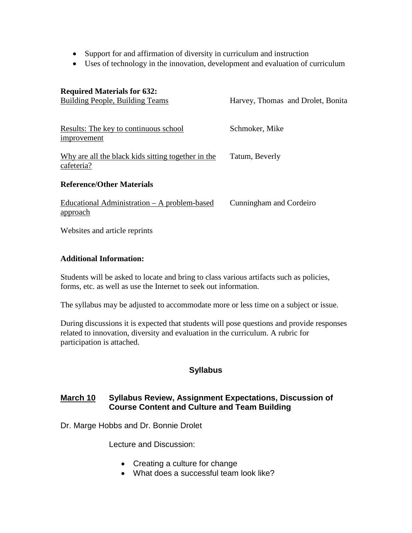- Support for and affirmation of diversity in curriculum and instruction
- Uses of technology in the innovation, development and evaluation of curriculum

| <b>Required Materials for 632:</b><br><b>Building People, Building Teams</b> | Harvey, Thomas and Drolet, Bonita |
|------------------------------------------------------------------------------|-----------------------------------|
| Results: The key to continuous school<br>improvement                         | Schmoker, Mike                    |
| Why are all the black kids sitting together in the<br>cafeteria?             | Tatum, Beverly                    |
| <b>Reference/Other Materials</b>                                             |                                   |
| <u> Educational Administration – A problem-based</u><br>approach             | Cunningham and Cordeiro           |
| Websites and article reprints                                                |                                   |

#### **Additional Information:**

Students will be asked to locate and bring to class various artifacts such as policies, forms, etc. as well as use the Internet to seek out information.

The syllabus may be adjusted to accommodate more or less time on a subject or issue.

During discussions it is expected that students will pose questions and provide responses related to innovation, diversity and evaluation in the curriculum. A rubric for participation is attached.

#### **Syllabus**

#### **March 10 Syllabus Review, Assignment Expectations, Discussion of Course Content and Culture and Team Building**

Dr. Marge Hobbs and Dr. Bonnie Drolet

Lecture and Discussion:

- Creating a culture for change
- What does a successful team look like?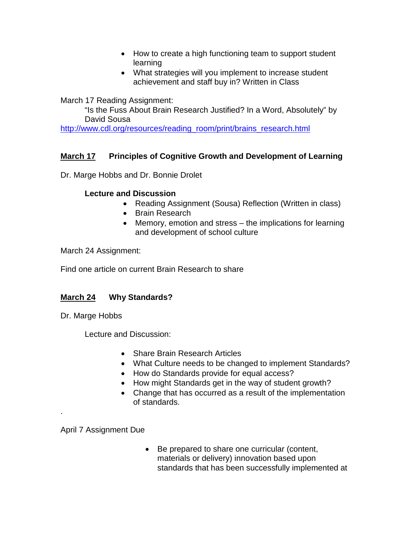- How to create a high functioning team to support student learning
- What strategies will you implement to increase student achievement and staff buy in? Written in Class

March 17 Reading Assignment:

"Is the Fuss About Brain Research Justified? In a Word, Absolutely" by David Sousa

[http://www.cdl.org/resources/reading\\_room/print/brains\\_research.html](http://www.cdl.org/resources/reading_room/print/achieve_gap.html)

### **March 17 Principles of Cognitive Growth and Development of Learning**

Dr. Marge Hobbs and Dr. Bonnie Drolet

### **Lecture and Discussion**

- Reading Assignment (Sousa) Reflection (Written in class)
- Brain Research
- Memory, emotion and stress the implications for learning and development of school culture

March 24 Assignment:

Find one article on current Brain Research to share

# **March 24 Why Standards?**

Dr. Marge Hobbs

Lecture and Discussion:

- Share Brain Research Articles
- What Culture needs to be changed to implement Standards?
- How do Standards provide for equal access?
- How might Standards get in the way of student growth?
- Change that has occurred as a result of the implementation of standards.

April 7 Assignment Due

.

• Be prepared to share one curricular (content, materials or delivery) innovation based upon standards that has been successfully implemented at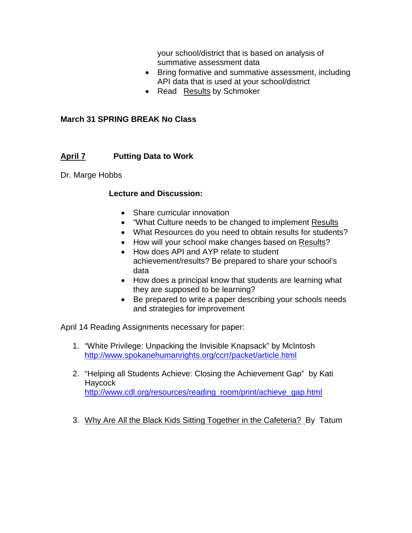your school/district that is based on analysis of summative assessment data

- Bring formative and summative assessment, including API data that is used at your school/district
- Read Results by Schmoker

#### **March 31 SPRING BREAK No Class**

### **April 7 Putting Data to Work**

Dr. Marge Hobbs

### **Lecture and Discussion:**

- Share curricular innovation
- "What Culture needs to be changed to implement Results
- What Resources do you need to obtain results for students?
- How will your school make changes based on Results?
- How does API and AYP relate to student achievement/results? Be prepared to share your school's data
- How does a principal know that students are learning what they are supposed to be learning?
- Be prepared to write a paper describing your schools needs and strategies for improvement

April 14 Reading Assignments necessary for paper:

- 1. "White Privilege: Unpacking the Invisible Knapsack" by McIntosh <http://www.spokanehumanrights.org/ccrr/packet/article.html>
- 2. "Helping all Students Achieve: Closing the Achievement Gap" by Kati Haycock [http://www.cdl.org/resources/reading\\_room/print/achieve\\_gap.html](http://www.cdl.org/resources/reading_room/print/achieve_gap.html)
- 3. Why Are All the Black Kids Sitting Together in the Cafeteria? By Tatum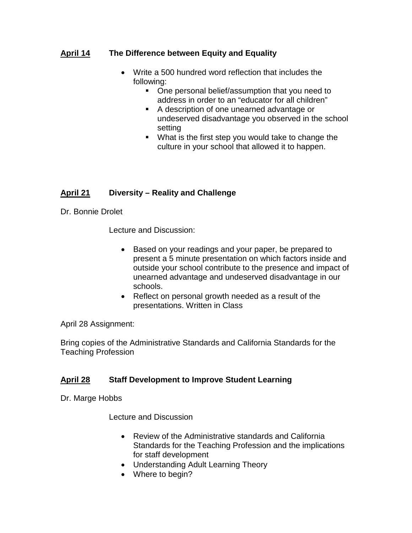# **April 14 The Difference between Equity and Equality**

- Write a 500 hundred word reflection that includes the following:
	- **One personal belief/assumption that you need to** address in order to an "educator for all children"
	- A description of one unearned advantage or undeserved disadvantage you observed in the school setting
	- **What is the first step you would take to change the** culture in your school that allowed it to happen.

# **April 21 Diversity – Reality and Challenge**

Dr. Bonnie Drolet

Lecture and Discussion:

- Based on your readings and your paper, be prepared to present a 5 minute presentation on which factors inside and outside your school contribute to the presence and impact of unearned advantage and undeserved disadvantage in our schools.
- Reflect on personal growth needed as a result of the presentations. Written in Class

April 28 Assignment:

Bring copies of the Administrative Standards and California Standards for the Teaching Profession

# **April 28 Staff Development to Improve Student Learning**

Dr. Marge Hobbs

Lecture and Discussion

- Review of the Administrative standards and California Standards for the Teaching Profession and the implications for staff development
- Understanding Adult Learning Theory
- Where to begin?